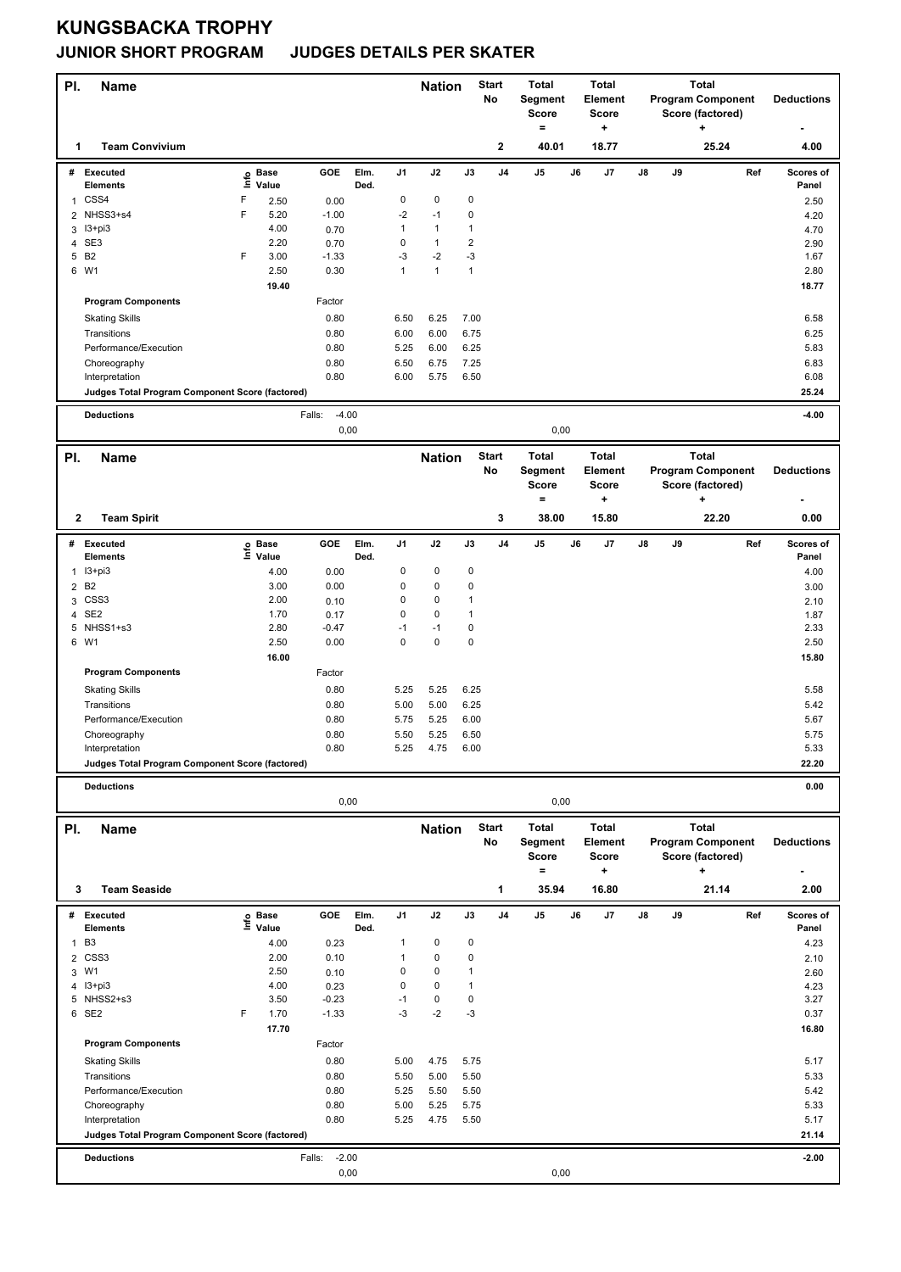## **KUNGSBACKA TROPHY**

## **JUNIOR SHORT PROGRAM JUDGES DETAILS PER SKATER**

| PI.                               | <b>Name</b>                                     |                           |                            |                   |              |                | <b>Nation</b>     |                         | <b>Start</b><br>No | <b>Total</b><br>Segment<br><b>Score</b><br>۰   |    | <b>Total</b><br>Element<br><b>Score</b><br>$\ddot{}$ |    |      | <b>Total</b><br><b>Program Component</b><br>Score (factored)<br>٠ |     | <b>Deductions</b>          |
|-----------------------------------|-------------------------------------------------|---------------------------|----------------------------|-------------------|--------------|----------------|-------------------|-------------------------|--------------------|------------------------------------------------|----|------------------------------------------------------|----|------|-------------------------------------------------------------------|-----|----------------------------|
| 1                                 | <b>Team Convivium</b>                           |                           |                            |                   |              |                |                   |                         | $\mathbf 2$        | 40.01                                          |    | 18.77                                                |    |      | 25.24                                                             |     | 4.00                       |
| #<br>1                            | <b>Executed</b><br><b>Elements</b><br>CSS4      | F                         | e Base<br>⊆ Value<br>2.50  | GOE<br>0.00       | Elm.<br>Ded. | J1<br>0        | J2<br>$\pmb{0}$   | J3<br>0                 | J4                 | J5                                             | J6 | J7                                                   | J8 | J9   |                                                                   | Ref | Scores of<br>Panel<br>2.50 |
|                                   | 2 NHSS3+s4<br>I3+pi3                            | F                         | 5.20<br>4.00               | $-1.00$           |              | $-2$<br>1      | $-1$<br>1         | 0<br>$\mathbf{1}$       |                    |                                                |    |                                                      |    |      |                                                                   |     | 4.20                       |
| 3<br>4                            | SE3                                             |                           | 2.20                       | 0.70<br>0.70      |              | 0              | 1                 | $\overline{\mathbf{c}}$ |                    |                                                |    |                                                      |    |      |                                                                   |     | 4.70<br>2.90               |
| 5                                 | <b>B2</b>                                       | F                         | 3.00                       | $-1.33$           |              | $-3$           | $-2$              | $-3$                    |                    |                                                |    |                                                      |    |      |                                                                   |     | 1.67                       |
|                                   | 6 W1                                            |                           | 2.50                       | 0.30              |              | $\mathbf{1}$   | $\mathbf{1}$      | $\mathbf{1}$            |                    |                                                |    |                                                      |    |      |                                                                   |     | 2.80                       |
|                                   | <b>Program Components</b>                       |                           | 19.40                      | Factor            |              |                |                   |                         |                    |                                                |    |                                                      |    |      |                                                                   |     | 18.77                      |
|                                   |                                                 |                           |                            | 0.80              |              | 6.50           | 6.25              | 7.00                    |                    |                                                |    |                                                      |    |      |                                                                   |     | 6.58                       |
|                                   | <b>Skating Skills</b><br>Transitions            |                           |                            | 0.80              |              | 6.00           | 6.00              | 6.75                    |                    |                                                |    |                                                      |    |      |                                                                   |     | 6.25                       |
|                                   | Performance/Execution                           |                           |                            | 0.80              |              | 5.25           | 6.00              | 6.25                    |                    |                                                |    |                                                      |    |      |                                                                   |     | 5.83                       |
|                                   | Choreography                                    |                           |                            | 0.80              |              | 6.50           | 6.75              | 7.25                    |                    |                                                |    |                                                      |    |      |                                                                   |     | 6.83                       |
|                                   | Interpretation                                  |                           |                            | 0.80              |              | 6.00           | 5.75              | 6.50                    |                    |                                                |    |                                                      |    |      |                                                                   |     | 6.08                       |
|                                   | Judges Total Program Component Score (factored) |                           |                            |                   |              |                |                   |                         |                    |                                                |    |                                                      |    |      |                                                                   |     | 25.24                      |
|                                   | <b>Deductions</b>                               |                           |                            | Falls:<br>$-4.00$ |              |                |                   |                         |                    |                                                |    |                                                      |    |      |                                                                   |     | $-4.00$                    |
|                                   | 0,00<br>0,00                                    |                           |                            |                   |              |                |                   |                         |                    |                                                |    |                                                      |    |      |                                                                   |     |                            |
| PI.                               | <b>Name</b>                                     |                           |                            |                   |              |                | <b>Nation</b>     |                         | <b>Start</b><br>No | <b>Total</b><br>Segment<br><b>Score</b><br>$=$ |    | <b>Total</b><br>Element<br><b>Score</b><br>$\ddot{}$ |    |      | <b>Total</b><br><b>Program Component</b><br>Score (factored)<br>٠ |     | <b>Deductions</b>          |
| 2                                 | <b>Team Spirit</b>                              |                           |                            |                   |              |                |                   |                         | 3                  | 38.00                                          |    | 15.80                                                |    |      | 22.20                                                             |     | 0.00                       |
|                                   | # Executed<br><b>Elements</b>                   |                           | e Base<br>⊑ Value          | GOE               | Elm.<br>Ded. | J <sub>1</sub> | J2                | J3                      | J4                 | J5                                             | J6 | J7                                                   | J8 | J9   |                                                                   | Ref | Scores of<br>Panel         |
| 1                                 | I3+pi3                                          |                           | 4.00                       | 0.00              |              | 0              | $\pmb{0}$         | 0                       |                    |                                                |    |                                                      |    |      |                                                                   |     | 4.00                       |
|                                   | 2 B <sub>2</sub>                                |                           | 3.00                       | 0.00              |              | 0              | 0                 | 0                       |                    |                                                |    |                                                      |    |      |                                                                   |     | 3.00                       |
| 3                                 | CSS <sub>3</sub>                                |                           | 2.00                       | 0.10              |              | 0              | 0                 | 1                       |                    |                                                |    |                                                      |    |      |                                                                   |     | 2.10                       |
|                                   | 4 SE2                                           |                           | 1.70                       | 0.17              |              | 0              | 0                 | $\mathbf{1}$            |                    |                                                |    |                                                      |    |      |                                                                   |     | 1.87                       |
| 5                                 | NHSS1+s3<br>6 W1                                |                           | 2.80<br>2.50               | $-0.47$<br>0.00   |              | $-1$<br>0      | $-1$<br>$\pmb{0}$ | 0<br>0                  |                    |                                                |    |                                                      |    |      |                                                                   |     | 2.33<br>2.50               |
|                                   |                                                 |                           | 16.00                      |                   |              |                |                   |                         |                    |                                                |    |                                                      |    |      |                                                                   |     | 15.80                      |
|                                   | <b>Program Components</b>                       |                           |                            | Factor            |              |                |                   |                         |                    |                                                |    |                                                      |    |      |                                                                   |     |                            |
|                                   | <b>Skating Skills</b>                           |                           |                            | 0.80              |              | 5.25           | 5.25              | 6.25                    |                    |                                                |    |                                                      |    |      |                                                                   |     | 5.58                       |
|                                   | Transitions                                     |                           |                            | 0.80              |              | 5.00           | 5.00              | 6.25                    |                    |                                                |    |                                                      |    |      |                                                                   |     | 5.42                       |
|                                   | Performance/Execution                           |                           |                            | 0.80              |              | 5.75           | 5.25              | 6.00                    |                    |                                                |    |                                                      |    |      |                                                                   |     | 5.67                       |
|                                   | Choreography                                    |                           |                            | 0.80              |              | 5.50           | 5.25              | 6.50                    |                    |                                                |    |                                                      |    |      |                                                                   |     | 5.75                       |
|                                   | Interpretation                                  |                           |                            | 0.80              |              | 5.25           | 4.75              | 6.00                    |                    |                                                |    |                                                      |    |      |                                                                   |     | 5.33                       |
|                                   | Judges Total Program Component Score (factored) |                           |                            |                   |              |                |                   |                         |                    |                                                |    |                                                      |    |      |                                                                   |     | 22.20                      |
| <b>Deductions</b><br>0,00<br>0,00 |                                                 |                           |                            |                   |              |                |                   |                         |                    |                                                |    |                                                      |    | 0.00 |                                                                   |     |                            |
|                                   |                                                 |                           |                            |                   |              |                |                   |                         |                    | <b>Total</b>                                   |    | <b>Total</b>                                         |    |      | <b>Total</b>                                                      |     |                            |
| PI.                               | <b>Name</b>                                     |                           |                            |                   |              |                | <b>Nation</b>     |                         | <b>Start</b><br>No | Segment<br>Score<br>$=$                        |    | Element<br>Score<br>÷                                |    |      | <b>Program Component</b><br>Score (factored)<br>+                 |     | <b>Deductions</b>          |
| 3                                 | <b>Team Seaside</b>                             |                           |                            |                   |              |                |                   |                         | $\mathbf{1}$       | 35.94                                          |    | 16.80                                                |    |      | 21.14                                                             |     | 2.00                       |
|                                   | # Executed<br><b>Elements</b>                   |                           | e Base<br>E Value<br>Value | GOE               | Elm.<br>Ded. | J1             | J2                | J3                      | J4                 | J5                                             | J6 | J7                                                   | J8 | J9   |                                                                   | Ref | Scores of<br>Panel         |
| $\mathbf{1}$                      | B <sub>3</sub>                                  |                           | 4.00                       | 0.23              |              | 1              | 0                 | 0                       |                    |                                                |    |                                                      |    |      |                                                                   |     | 4.23                       |
| $\overline{2}$                    | CSS <sub>3</sub>                                |                           | 2.00                       | 0.10              |              | 1              | 0                 | 0                       |                    |                                                |    |                                                      |    |      |                                                                   |     | 2.10                       |
| 3                                 | W1                                              |                           | 2.50                       | 0.10              |              | 0<br>0         | 0                 | $\mathbf{1}$            |                    |                                                |    |                                                      |    |      |                                                                   |     | 2.60                       |
|                                   | 4 13+pi3<br>5 NHSS2+s3                          |                           | 4.00<br>3.50               | 0.23<br>$-0.23$   |              | $-1$           | 0<br>0            | 1<br>0                  |                    |                                                |    |                                                      |    |      |                                                                   |     | 4.23<br>3.27               |
|                                   | 6 SE2                                           | F                         | 1.70                       | $-1.33$           |              | -3             | $-2$              | -3                      |                    |                                                |    |                                                      |    |      |                                                                   |     | 0.37                       |
|                                   |                                                 |                           | 17.70                      |                   |              |                |                   |                         |                    |                                                |    |                                                      |    |      |                                                                   |     | 16.80                      |
|                                   | <b>Program Components</b>                       |                           |                            | Factor            |              |                |                   |                         |                    |                                                |    |                                                      |    |      |                                                                   |     |                            |
|                                   | <b>Skating Skills</b>                           |                           |                            | 0.80              |              | 5.00           | 4.75              | 5.75                    |                    |                                                |    |                                                      |    |      |                                                                   |     | 5.17                       |
|                                   | Transitions                                     |                           |                            | 0.80              |              | 5.50           | 5.00              | 5.50                    |                    |                                                |    |                                                      |    |      |                                                                   |     | 5.33                       |
|                                   | Performance/Execution                           |                           |                            | 0.80              |              | 5.25           | 5.50              | 5.50                    |                    |                                                |    |                                                      |    |      |                                                                   |     | 5.42                       |
|                                   | Choreography                                    |                           |                            | 0.80              |              | 5.00           | 5.25              | 5.75                    |                    |                                                |    |                                                      |    |      |                                                                   |     | 5.33                       |
|                                   | Interpretation                                  |                           |                            | 0.80              |              | 5.25           | 4.75              | 5.50                    |                    |                                                |    |                                                      |    |      |                                                                   |     | 5.17                       |
|                                   | Judges Total Program Component Score (factored) |                           |                            |                   |              |                |                   |                         |                    |                                                |    |                                                      |    |      |                                                                   |     | 21.14                      |
|                                   | <b>Deductions</b>                               | $-2.00$<br>Falls:<br>0,00 |                            |                   |              |                |                   |                         |                    | 0,00                                           |    |                                                      |    |      |                                                                   |     | $-2.00$                    |
|                                   |                                                 |                           |                            |                   |              |                |                   |                         |                    |                                                |    |                                                      |    |      |                                                                   |     |                            |